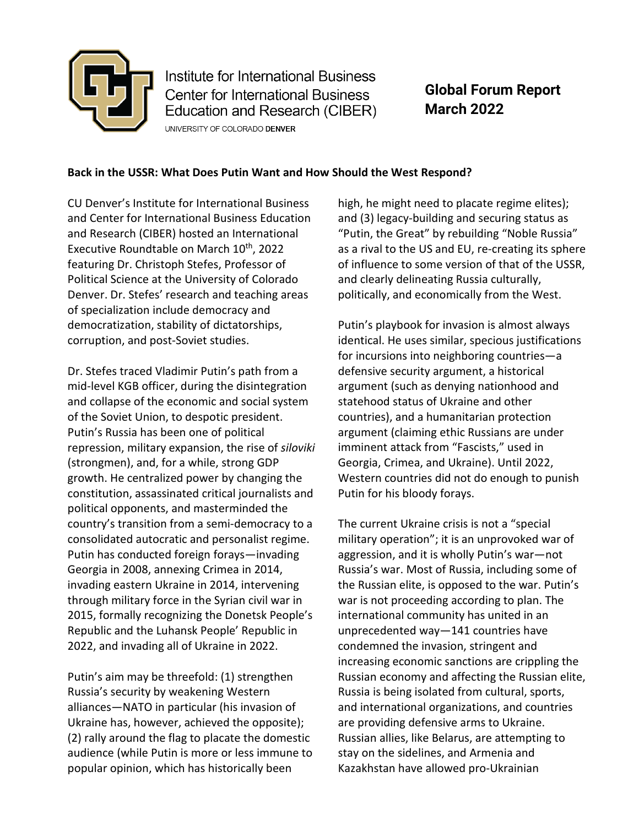

Institute for International Business **Center for International Business** Education and Research (CIBER) UNIVERSITY OF COLORADO DENVER

**Global Forum Report March 2022**

## **Back in the USSR: What Does Putin Want and How Should the West Respond?**

CU Denver's Institute for International Business and Center for International Business Education and Research (CIBER) hosted an International Executive Roundtable on March 10<sup>th</sup>, 2022 featuring Dr. Christoph Stefes, Professor of Political Science at the University of Colorado Denver. Dr. Stefes' research and teaching areas of specialization include democracy and democratization, stability of dictatorships, corruption, and post-Soviet studies.

Dr. Stefes traced Vladimir Putin's path from a mid-level KGB officer, during the disintegration and collapse of the economic and social system of the Soviet Union, to despotic president. Putin's Russia has been one of political repression, military expansion, the rise of *siloviki* (strongmen), and, for a while, strong GDP growth. He centralized power by changing the constitution, assassinated critical journalists and political opponents, and masterminded the country's transition from a semi-democracy to a consolidated autocratic and personalist regime. Putin has conducted foreign forays—invading Georgia in 2008, annexing Crimea in 2014, invading eastern Ukraine in 2014, intervening through military force in the Syrian civil war in 2015, formally recognizing the Donetsk People's Republic and the Luhansk People' Republic in 2022, and invading all of Ukraine in 2022.

Putin's aim may be threefold: (1) strengthen Russia's security by weakening Western alliances—NATO in particular (his invasion of Ukraine has, however, achieved the opposite); (2) rally around the flag to placate the domestic audience (while Putin is more or less immune to popular opinion, which has historically been

high, he might need to placate regime elites); and (3) legacy-building and securing status as "Putin, the Great" by rebuilding "Noble Russia" as a rival to the US and EU, re-creating its sphere of influence to some version of that of the USSR, and clearly delineating Russia culturally, politically, and economically from the West.

Putin's playbook for invasion is almost always identical. He uses similar, specious justifications for incursions into neighboring countries—a defensive security argument, a historical argument (such as denying nationhood and statehood status of Ukraine and other countries), and a humanitarian protection argument (claiming ethic Russians are under imminent attack from "Fascists," used in Georgia, Crimea, and Ukraine). Until 2022, Western countries did not do enough to punish Putin for his bloody forays.

The current Ukraine crisis is not a "special military operation"; it is an unprovoked war of aggression, and it is wholly Putin's war—not Russia's war. Most of Russia, including some of the Russian elite, is opposed to the war. Putin's war is not proceeding according to plan. The international community has united in an unprecedented way—141 countries have condemned the invasion, stringent and increasing economic sanctions are crippling the Russian economy and affecting the Russian elite, Russia is being isolated from cultural, sports, and international organizations, and countries are providing defensive arms to Ukraine. Russian allies, like Belarus, are attempting to stay on the sidelines, and Armenia and Kazakhstan have allowed pro-Ukrainian